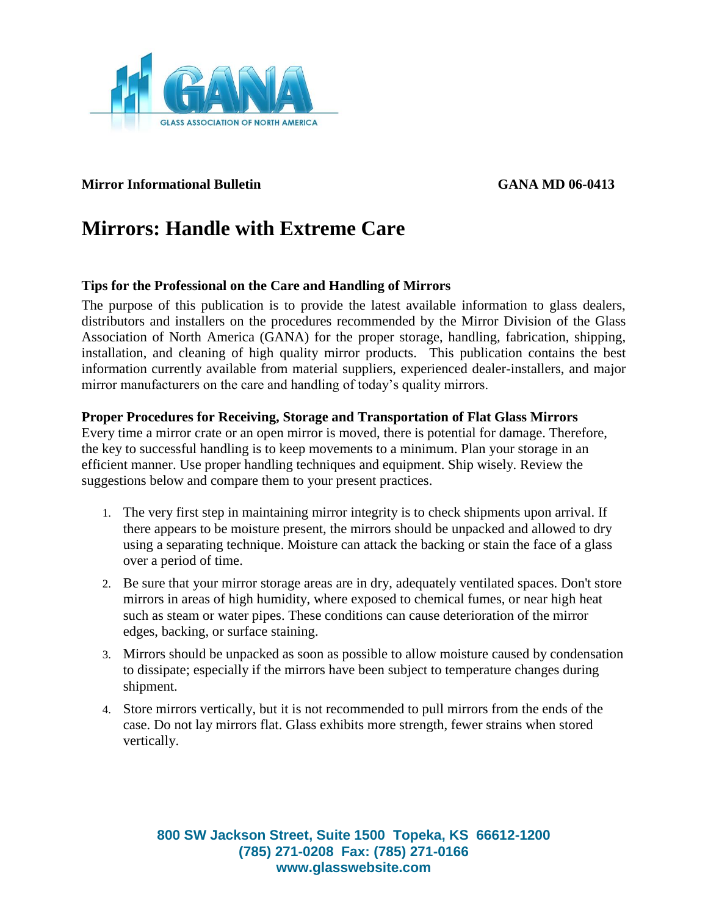

# **Mirror Informational Bulletin GANA MD 06-0413**

# **Mirrors: Handle with Extreme Care**

### **Tips for the Professional on the Care and Handling of Mirrors**

The purpose of this publication is to provide the latest available information to glass dealers, distributors and installers on the procedures recommended by the Mirror Division of the Glass Association of North America (GANA) for the proper storage, handling, fabrication, shipping, installation, and cleaning of high quality mirror products. This publication contains the best information currently available from material suppliers, experienced dealer-installers, and major mirror manufacturers on the care and handling of today's quality mirrors.

#### **Proper Procedures for Receiving, Storage and Transportation of Flat Glass Mirrors**

Every time a mirror crate or an open mirror is moved, there is potential for damage. Therefore, the key to successful handling is to keep movements to a minimum. Plan your storage in an efficient manner. Use proper handling techniques and equipment. Ship wisely. Review the suggestions below and compare them to your present practices.

- 1. The very first step in maintaining mirror integrity is to check shipments upon arrival. If there appears to be moisture present, the mirrors should be unpacked and allowed to dry using a separating technique. Moisture can attack the backing or stain the face of a glass over a period of time.
- 2. Be sure that your mirror storage areas are in dry, adequately ventilated spaces. Don't store mirrors in areas of high humidity, where exposed to chemical fumes, or near high heat such as steam or water pipes. These conditions can cause deterioration of the mirror edges, backing, or surface staining.
- 3. Mirrors should be unpacked as soon as possible to allow moisture caused by condensation to dissipate; especially if the mirrors have been subject to temperature changes during shipment.
- 4. Store mirrors vertically, but it is not recommended to pull mirrors from the ends of the case. Do not lay mirrors flat. Glass exhibits more strength, fewer strains when stored vertically.

**800 SW Jackson Street, Suite 1500 Topeka, KS 66612-1200 (785) 271-0208 Fax: (785) 271-0166 www.glasswebsite.com**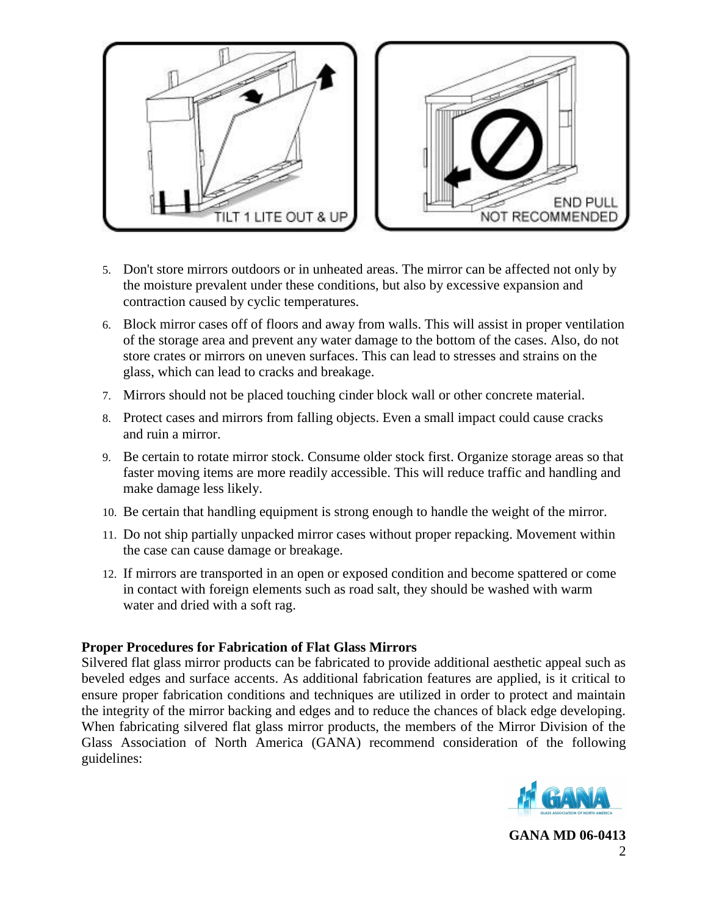

- 5. Don't store mirrors outdoors or in unheated areas. The mirror can be affected not only by the moisture prevalent under these conditions, but also by excessive expansion and contraction caused by cyclic temperatures.
- 6. Block mirror cases off of floors and away from walls. This will assist in proper ventilation of the storage area and prevent any water damage to the bottom of the cases. Also, do not store crates or mirrors on uneven surfaces. This can lead to stresses and strains on the glass, which can lead to cracks and breakage.
- 7. Mirrors should not be placed touching cinder block wall or other concrete material.
- 8. Protect cases and mirrors from falling objects. Even a small impact could cause cracks and ruin a mirror.
- 9. Be certain to rotate mirror stock. Consume older stock first. Organize storage areas so that faster moving items are more readily accessible. This will reduce traffic and handling and make damage less likely.
- 10. Be certain that handling equipment is strong enough to handle the weight of the mirror.
- 11. Do not ship partially unpacked mirror cases without proper repacking. Movement within the case can cause damage or breakage.
- 12. If mirrors are transported in an open or exposed condition and become spattered or come in contact with foreign elements such as road salt, they should be washed with warm water and dried with a soft rag.

### **Proper Procedures for Fabrication of Flat Glass Mirrors**

Silvered flat glass mirror products can be fabricated to provide additional aesthetic appeal such as beveled edges and surface accents. As additional fabrication features are applied, is it critical to ensure proper fabrication conditions and techniques are utilized in order to protect and maintain the integrity of the mirror backing and edges and to reduce the chances of black edge developing. When fabricating silvered flat glass mirror products, the members of the Mirror Division of the Glass Association of North America (GANA) recommend consideration of the following guidelines:

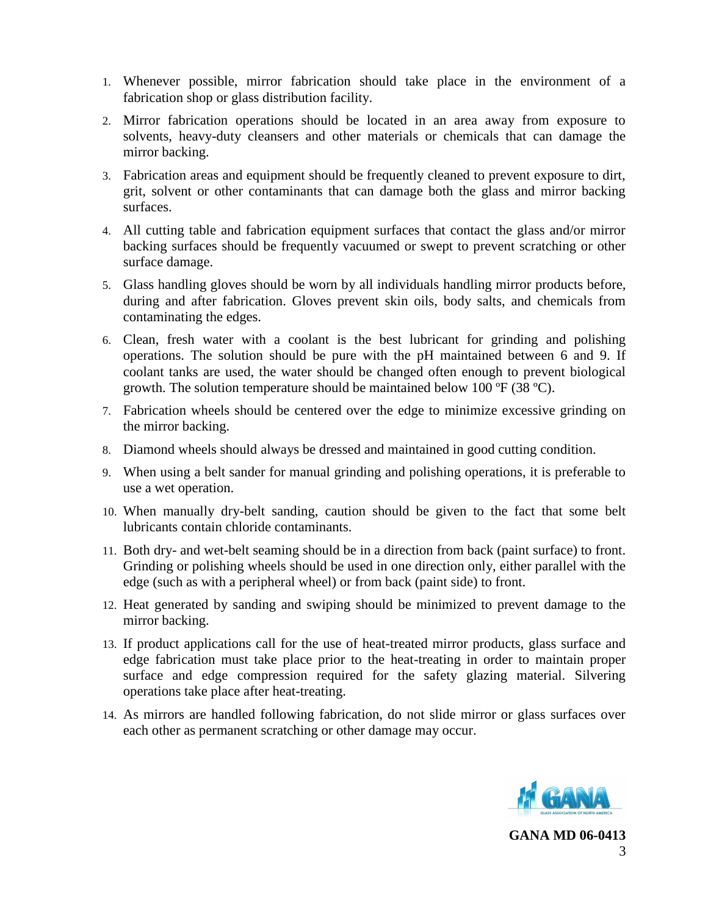- 1. Whenever possible, mirror fabrication should take place in the environment of a fabrication shop or glass distribution facility.
- 2. Mirror fabrication operations should be located in an area away from exposure to solvents, heavy-duty cleansers and other materials or chemicals that can damage the mirror backing.
- 3. Fabrication areas and equipment should be frequently cleaned to prevent exposure to dirt, grit, solvent or other contaminants that can damage both the glass and mirror backing surfaces.
- 4. All cutting table and fabrication equipment surfaces that contact the glass and/or mirror backing surfaces should be frequently vacuumed or swept to prevent scratching or other surface damage.
- 5. Glass handling gloves should be worn by all individuals handling mirror products before, during and after fabrication. Gloves prevent skin oils, body salts, and chemicals from contaminating the edges.
- 6. Clean, fresh water with a coolant is the best lubricant for grinding and polishing operations. The solution should be pure with the pH maintained between 6 and 9. If coolant tanks are used, the water should be changed often enough to prevent biological growth. The solution temperature should be maintained below 100 ºF (38 ºC).
- 7. Fabrication wheels should be centered over the edge to minimize excessive grinding on the mirror backing.
- 8. Diamond wheels should always be dressed and maintained in good cutting condition.
- 9. When using a belt sander for manual grinding and polishing operations, it is preferable to use a wet operation.
- 10. When manually dry-belt sanding, caution should be given to the fact that some belt lubricants contain chloride contaminants.
- 11. Both dry- and wet-belt seaming should be in a direction from back (paint surface) to front. Grinding or polishing wheels should be used in one direction only, either parallel with the edge (such as with a peripheral wheel) or from back (paint side) to front.
- 12. Heat generated by sanding and swiping should be minimized to prevent damage to the mirror backing.
- 13. If product applications call for the use of heat-treated mirror products, glass surface and edge fabrication must take place prior to the heat-treating in order to maintain proper surface and edge compression required for the safety glazing material. Silvering operations take place after heat-treating.
- 14. As mirrors are handled following fabrication, do not slide mirror or glass surfaces over each other as permanent scratching or other damage may occur.

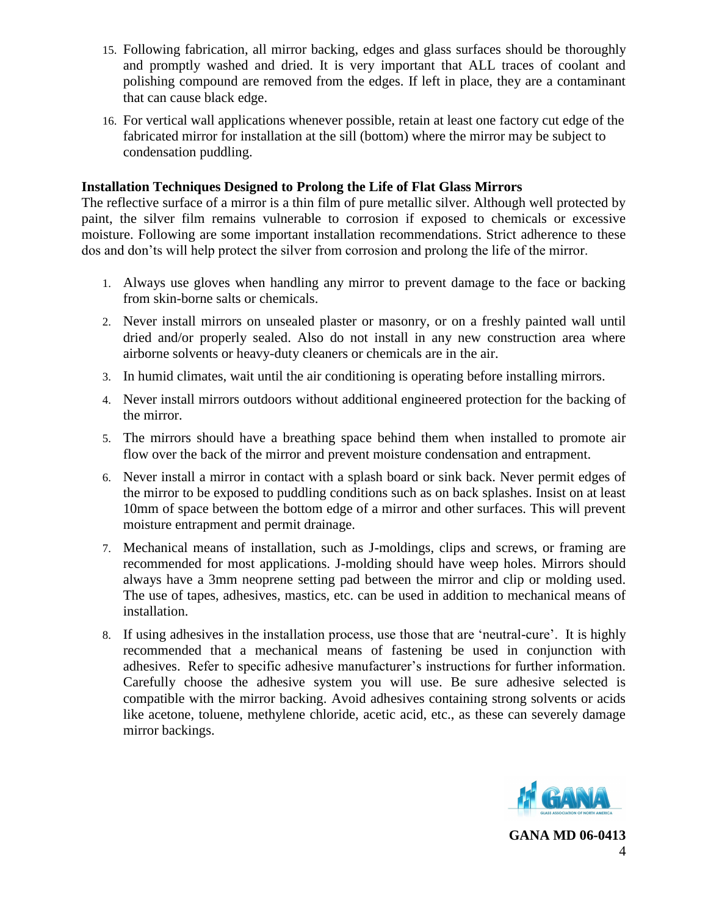- 15. Following fabrication, all mirror backing, edges and glass surfaces should be thoroughly and promptly washed and dried. It is very important that ALL traces of coolant and polishing compound are removed from the edges. If left in place, they are a contaminant that can cause black edge.
- 16. For vertical wall applications whenever possible, retain at least one factory cut edge of the fabricated mirror for installation at the sill (bottom) where the mirror may be subject to condensation puddling.

### **Installation Techniques Designed to Prolong the Life of Flat Glass Mirrors**

The reflective surface of a mirror is a thin film of pure metallic silver. Although well protected by paint, the silver film remains vulnerable to corrosion if exposed to chemicals or excessive moisture. Following are some important installation recommendations. Strict adherence to these dos and don'ts will help protect the silver from corrosion and prolong the life of the mirror.

- 1. Always use gloves when handling any mirror to prevent damage to the face or backing from skin-borne salts or chemicals.
- 2. Never install mirrors on unsealed plaster or masonry, or on a freshly painted wall until dried and/or properly sealed. Also do not install in any new construction area where airborne solvents or heavy-duty cleaners or chemicals are in the air.
- 3. In humid climates, wait until the air conditioning is operating before installing mirrors.
- 4. Never install mirrors outdoors without additional engineered protection for the backing of the mirror.
- 5. The mirrors should have a breathing space behind them when installed to promote air flow over the back of the mirror and prevent moisture condensation and entrapment.
- 6. Never install a mirror in contact with a splash board or sink back. Never permit edges of the mirror to be exposed to puddling conditions such as on back splashes. Insist on at least 10mm of space between the bottom edge of a mirror and other surfaces. This will prevent moisture entrapment and permit drainage.
- 7. Mechanical means of installation, such as J-moldings, clips and screws, or framing are recommended for most applications. J-molding should have weep holes. Mirrors should always have a 3mm neoprene setting pad between the mirror and clip or molding used. The use of tapes, adhesives, mastics, etc. can be used in addition to mechanical means of installation.
- 8. If using adhesives in the installation process, use those that are 'neutral-cure'. It is highly recommended that a mechanical means of fastening be used in conjunction with adhesives. Refer to specific adhesive manufacturer's instructions for further information. Carefully choose the adhesive system you will use. Be sure adhesive selected is compatible with the mirror backing. Avoid adhesives containing strong solvents or acids like acetone, toluene, methylene chloride, acetic acid, etc., as these can severely damage mirror backings.

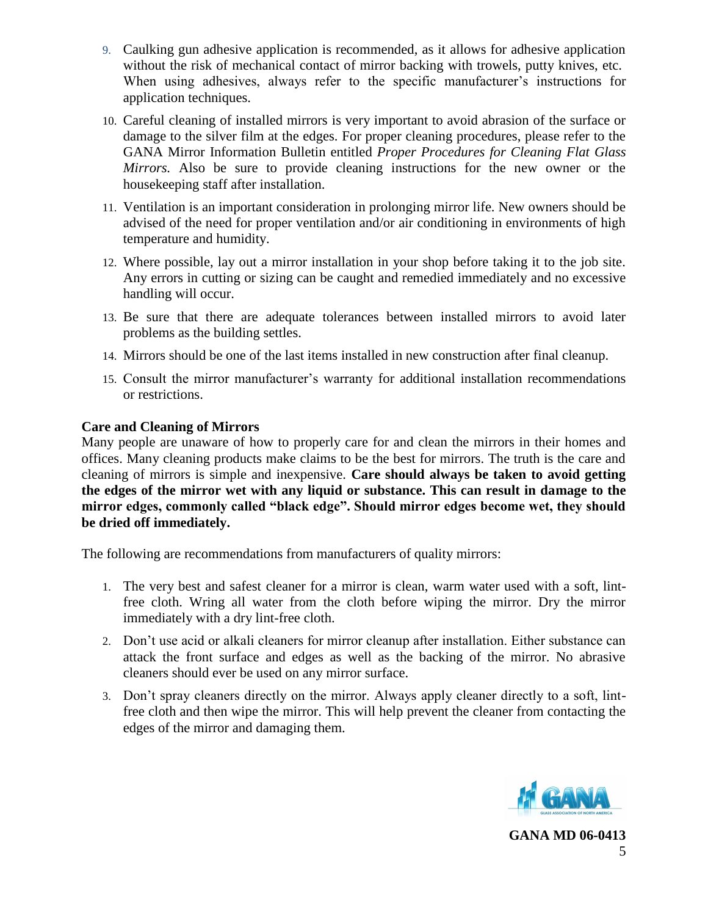- 9. Caulking gun adhesive application is recommended, as it allows for adhesive application without the risk of mechanical contact of mirror backing with trowels, putty knives, etc. When using adhesives, always refer to the specific manufacturer's instructions for application techniques.
- 10. Careful cleaning of installed mirrors is very important to avoid abrasion of the surface or damage to the silver film at the edges. For proper cleaning procedures, please refer to the GANA Mirror Information Bulletin entitled *Proper Procedures for Cleaning Flat Glass Mirrors.* Also be sure to provide cleaning instructions for the new owner or the housekeeping staff after installation.
- 11. Ventilation is an important consideration in prolonging mirror life. New owners should be advised of the need for proper ventilation and/or air conditioning in environments of high temperature and humidity.
- 12. Where possible, lay out a mirror installation in your shop before taking it to the job site. Any errors in cutting or sizing can be caught and remedied immediately and no excessive handling will occur.
- 13. Be sure that there are adequate tolerances between installed mirrors to avoid later problems as the building settles.
- 14. Mirrors should be one of the last items installed in new construction after final cleanup.
- 15. Consult the mirror manufacturer's warranty for additional installation recommendations or restrictions.

# **Care and Cleaning of Mirrors**

Many people are unaware of how to properly care for and clean the mirrors in their homes and offices. Many cleaning products make claims to be the best for mirrors. The truth is the care and cleaning of mirrors is simple and inexpensive. **Care should always be taken to avoid getting the edges of the mirror wet with any liquid or substance. This can result in damage to the mirror edges, commonly called "black edge". Should mirror edges become wet, they should be dried off immediately.**

The following are recommendations from manufacturers of quality mirrors:

- 1. The very best and safest cleaner for a mirror is clean, warm water used with a soft, lintfree cloth. Wring all water from the cloth before wiping the mirror. Dry the mirror immediately with a dry lint-free cloth.
- 2. Don't use acid or alkali cleaners for mirror cleanup after installation. Either substance can attack the front surface and edges as well as the backing of the mirror. No abrasive cleaners should ever be used on any mirror surface.
- 3. Don't spray cleaners directly on the mirror. Always apply cleaner directly to a soft, lintfree cloth and then wipe the mirror. This will help prevent the cleaner from contacting the edges of the mirror and damaging them.

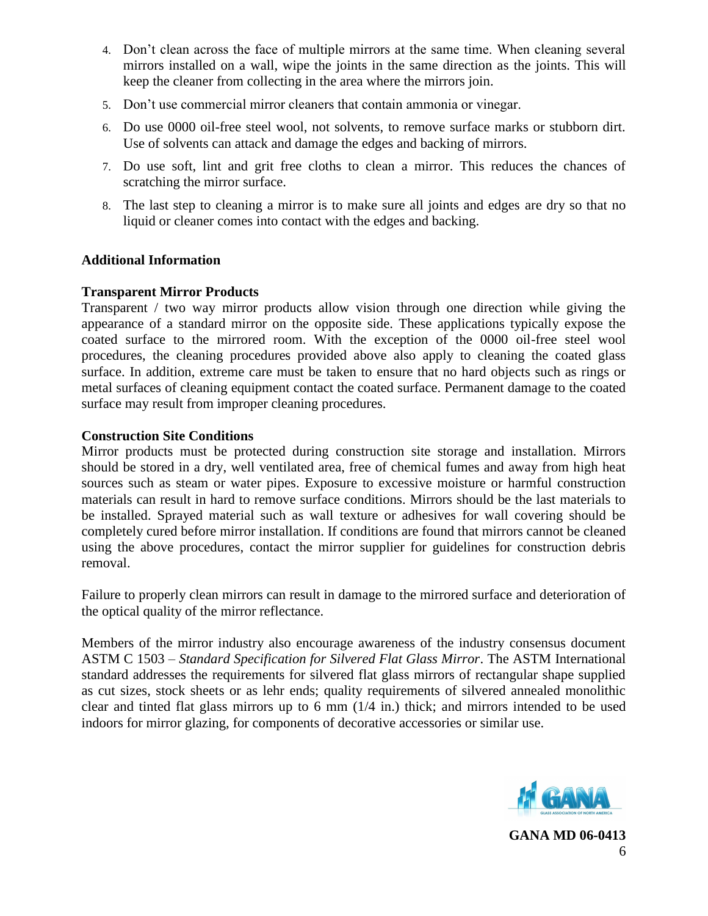- 4. Don't clean across the face of multiple mirrors at the same time. When cleaning several mirrors installed on a wall, wipe the joints in the same direction as the joints. This will keep the cleaner from collecting in the area where the mirrors join.
- 5. Don't use commercial mirror cleaners that contain ammonia or vinegar.
- 6. Do use 0000 oil-free steel wool, not solvents, to remove surface marks or stubborn dirt. Use of solvents can attack and damage the edges and backing of mirrors.
- 7. Do use soft, lint and grit free cloths to clean a mirror. This reduces the chances of scratching the mirror surface.
- 8. The last step to cleaning a mirror is to make sure all joints and edges are dry so that no liquid or cleaner comes into contact with the edges and backing.

### **Additional Information**

### **Transparent Mirror Products**

Transparent / two way mirror products allow vision through one direction while giving the appearance of a standard mirror on the opposite side. These applications typically expose the coated surface to the mirrored room. With the exception of the 0000 oil-free steel wool procedures, the cleaning procedures provided above also apply to cleaning the coated glass surface. In addition, extreme care must be taken to ensure that no hard objects such as rings or metal surfaces of cleaning equipment contact the coated surface. Permanent damage to the coated surface may result from improper cleaning procedures.

# **Construction Site Conditions**

Mirror products must be protected during construction site storage and installation. Mirrors should be stored in a dry, well ventilated area, free of chemical fumes and away from high heat sources such as steam or water pipes. Exposure to excessive moisture or harmful construction materials can result in hard to remove surface conditions. Mirrors should be the last materials to be installed. Sprayed material such as wall texture or adhesives for wall covering should be completely cured before mirror installation. If conditions are found that mirrors cannot be cleaned using the above procedures, contact the mirror supplier for guidelines for construction debris removal.

Failure to properly clean mirrors can result in damage to the mirrored surface and deterioration of the optical quality of the mirror reflectance.

Members of the mirror industry also encourage awareness of the industry consensus document ASTM C 1503 – *Standard Specification for Silvered Flat Glass Mirror*. The ASTM International standard addresses the requirements for silvered flat glass mirrors of rectangular shape supplied as cut sizes, stock sheets or as lehr ends; quality requirements of silvered annealed monolithic clear and tinted flat glass mirrors up to 6 mm (1/4 in.) thick; and mirrors intended to be used indoors for mirror glazing, for components of decorative accessories or similar use.